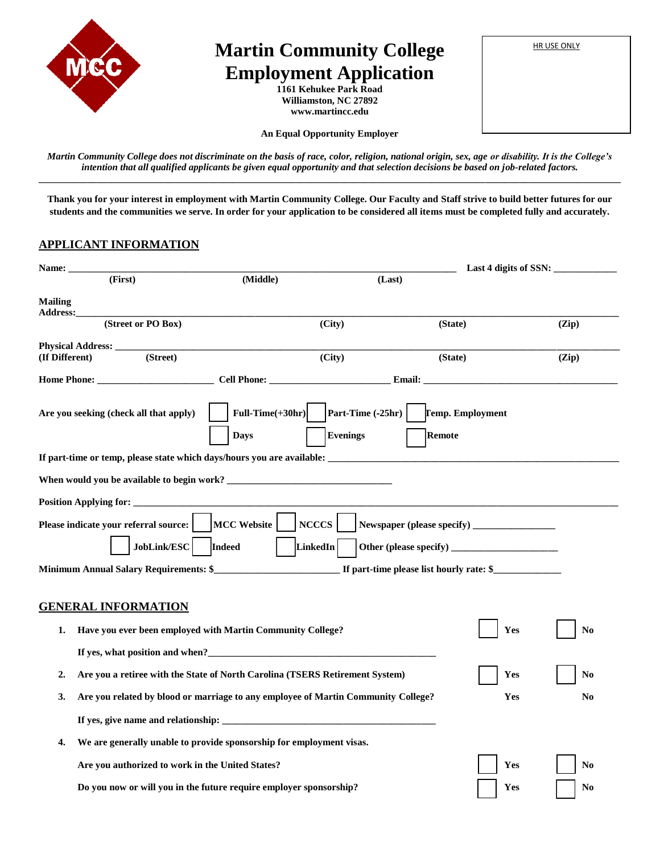

# **Martin Community College** | HRUSE ONLY **Employment Application**

**1161 Kehukee Park Road Williamston, NC 27892 www.martincc.edu**

| <b>HR USE ONLY</b> |  |
|--------------------|--|
|                    |  |

**An Equal Opportunity Employer**

*Martin Community College does not discriminate on the basis of race, color, religion, national origin, sex, age or disability. It is the College's intention that all qualified applicants be given equal opportunity and that selection decisions be based on job-related factors.* **\_\_\_\_\_\_\_\_\_\_\_\_\_\_\_\_\_\_\_\_\_\_\_\_\_\_\_\_\_\_\_\_\_\_\_\_\_\_\_\_\_\_\_\_\_\_\_\_\_\_\_\_\_\_\_\_\_\_\_\_\_\_\_\_\_\_\_\_\_\_\_\_\_\_\_\_\_\_\_\_\_\_\_\_\_\_\_\_\_\_\_\_\_\_\_\_\_\_\_\_\_\_\_\_\_\_\_\_\_\_\_\_\_\_\_\_\_\_\_\_**

**Thank you for your interest in employment with Martin Community College. Our Faculty and Staff strive to build better futures for our students and the communities we serve. In order for your application to be considered all items must be completed fully and accurately.** 

### **APPLICANT INFORMATION**

| <b>Name: __</b>                                  |                                                                                   |                                      |                                          | Last 4 digits of SSN: |
|--------------------------------------------------|-----------------------------------------------------------------------------------|--------------------------------------|------------------------------------------|-----------------------|
| (First)                                          | (Middle)                                                                          | (Last)                               |                                          |                       |
| <b>Mailing</b><br><b>Address:</b>                |                                                                                   |                                      |                                          |                       |
| (Street or PO Box)                               |                                                                                   | (City)                               | (State)                                  | (Zip)                 |
| Physical Address: ______                         |                                                                                   |                                      |                                          |                       |
| (Street)<br>(If Different)                       |                                                                                   | (City)                               | (State)                                  | (Zip)                 |
| Home Phone: Cell Phone: Email:                   |                                                                                   |                                      |                                          |                       |
| Are you seeking (check all that apply)           | Full-Time $(+30hr)$<br><b>Days</b>                                                | Part-Time (-25hr)<br><b>Evenings</b> | <b>Temp. Employment</b><br><b>Remote</b> |                       |
|                                                  |                                                                                   |                                      |                                          |                       |
|                                                  |                                                                                   |                                      |                                          |                       |
| Position Applying for: _____________             |                                                                                   |                                      |                                          |                       |
| Please indicate your referral source:            | <b>MCC Website</b>                                                                | <b>NCCCS</b>                         |                                          |                       |
| JobLink/ESC                                      | <b>Indeed</b>                                                                     | LinkedIn                             |                                          |                       |
|                                                  |                                                                                   |                                      |                                          |                       |
| <b>GENERAL INFORMATION</b><br>1.                 | Have you ever been employed with Martin Community College?                        |                                      |                                          | Yes<br>N <sub>0</sub> |
|                                                  |                                                                                   |                                      |                                          |                       |
|                                                  |                                                                                   |                                      |                                          |                       |
| 2.                                               | Are you a retiree with the State of North Carolina (TSERS Retirement System)      |                                      |                                          | Yes<br>No             |
| 3.                                               | Are you related by blood or marriage to any employee of Martin Community College? |                                      |                                          | Yes<br>N <sub>0</sub> |
|                                                  |                                                                                   |                                      |                                          |                       |
| 4.                                               | We are generally unable to provide sponsorship for employment visas.              |                                      |                                          |                       |
| Are you authorized to work in the United States? |                                                                                   |                                      |                                          | Yes<br>N <sub>0</sub> |
|                                                  | Do you now or will you in the future require employer sponsorship?                |                                      |                                          | Yes<br>N <sub>0</sub> |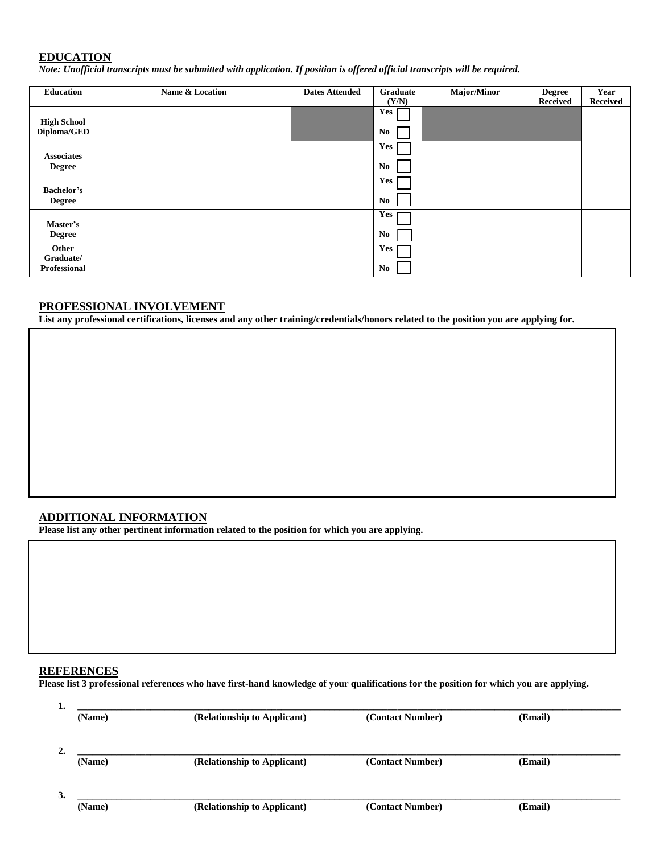## **EDUCATION**

*Note: Unofficial transcripts must be submitted with application. If position is offered official transcripts will be required.* 

| Education          | Name & Location | <b>Dates Attended</b> | Graduate       | Major/Minor | <b>Degree</b>   | Year            |
|--------------------|-----------------|-----------------------|----------------|-------------|-----------------|-----------------|
|                    |                 |                       | (Y/N)          |             | <b>Received</b> | <b>Received</b> |
| <b>High School</b> |                 |                       | Yes            |             |                 |                 |
| Diploma/GED        |                 |                       | N <sub>0</sub> |             |                 |                 |
| <b>Associates</b>  |                 |                       | Yes            |             |                 |                 |
| <b>Degree</b>      |                 |                       | N <sub>0</sub> |             |                 |                 |
| <b>Bachelor's</b>  |                 |                       | Yes            |             |                 |                 |
| <b>Degree</b>      |                 |                       | No             |             |                 |                 |
| Master's           |                 |                       | Yes            |             |                 |                 |
| <b>Degree</b>      |                 |                       | N <sub>0</sub> |             |                 |                 |
| Other<br>Graduate/ |                 |                       | Yes            |             |                 |                 |
| Professional       |                 |                       | N <sub>0</sub> |             |                 |                 |

## **PROFESSIONAL INVOLVEMENT**

**List any professional certifications, licenses and any other training/credentials/honors related to the position you are applying for.**

### **ADDITIONAL INFORMATION**

**Please list any other pertinent information related to the position for which you are applying.**

## **REFERENCES**

**Please list 3 professional references who have first-hand knowledge of your qualifications for the position for which you are applying.** 

| ı. | (Name) | (Relationship to Applicant) | (Contact Number) | (Email) |
|----|--------|-----------------------------|------------------|---------|
| 2. |        |                             |                  |         |
|    | (Name) | (Relationship to Applicant) | (Contact Number) | (Email) |
| 3. |        |                             |                  |         |
|    | (Name) | (Relationship to Applicant) | (Contact Number) | (Email) |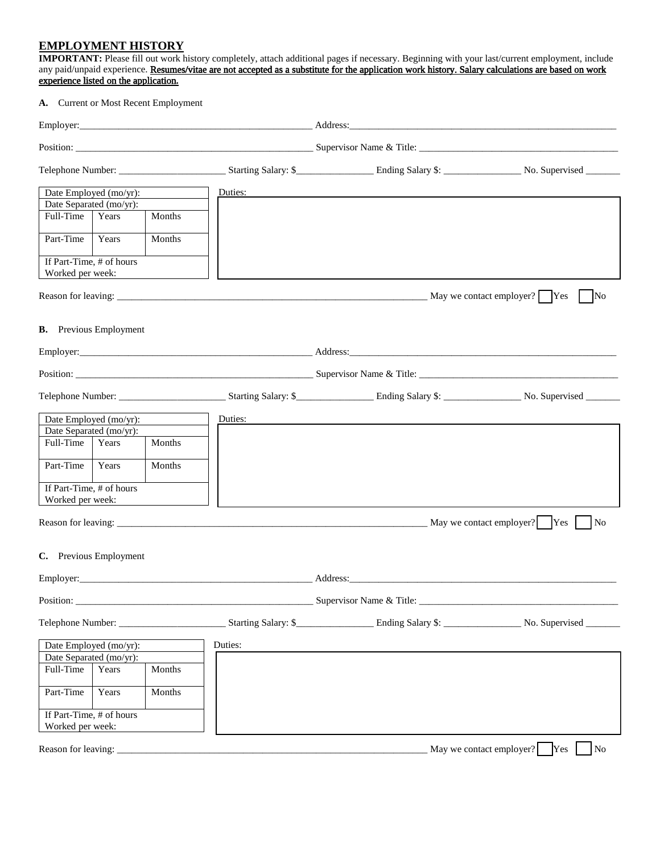### **EMPLOYMENT HISTORY**

**IMPORTANT:** Please fill out work history completely, attach additional pages if necessary. Beginning with your last/current employment, include any paid/unpaid experience. Resumes/vitae are not accepted as a substitute for the application work history. Salary calculations are based on work experience listed on the application**.**

#### **A.** Current or Most Recent Employment

|                                              | Date Employed (mo/yr): |        | Duties: |                                                                                                                                                                                                                                |                                                   |
|----------------------------------------------|------------------------|--------|---------|--------------------------------------------------------------------------------------------------------------------------------------------------------------------------------------------------------------------------------|---------------------------------------------------|
| Date Separated (mo/yr):                      |                        |        |         |                                                                                                                                                                                                                                |                                                   |
| Full-Time                                    | Years                  | Months |         |                                                                                                                                                                                                                                |                                                   |
| Part-Time                                    | Years                  | Months |         |                                                                                                                                                                                                                                |                                                   |
| If Part-Time, # of hours<br>Worked per week: |                        |        |         |                                                                                                                                                                                                                                |                                                   |
|                                              |                        |        |         |                                                                                                                                                                                                                                | $\overline{\text{No}}$                            |
| <b>B.</b> Previous Employment                |                        |        |         |                                                                                                                                                                                                                                |                                                   |
|                                              |                        |        |         | Employer: Address: Address: Address: Address: Address: Address: Address: Address: Address: Address: Address: Address: Address: Address: Address: Address: Address: Address: Address: Address: Address: Address: Address: Addre |                                                   |
|                                              |                        |        |         |                                                                                                                                                                                                                                |                                                   |
|                                              |                        |        |         |                                                                                                                                                                                                                                |                                                   |
|                                              | Date Employed (mo/yr): |        | Duties: |                                                                                                                                                                                                                                |                                                   |
| Date Separated (mo/yr):                      |                        |        |         |                                                                                                                                                                                                                                |                                                   |
| Full-Time                                    | Years                  | Months |         |                                                                                                                                                                                                                                |                                                   |
| Part-Time                                    | Years                  | Months |         |                                                                                                                                                                                                                                |                                                   |
| If Part-Time, # of hours<br>Worked per week: |                        |        |         |                                                                                                                                                                                                                                |                                                   |
|                                              |                        |        |         |                                                                                                                                                                                                                                | No                                                |
| C. Previous Employment                       |                        |        |         |                                                                                                                                                                                                                                |                                                   |
|                                              |                        |        |         | Address:                                                                                                                                                                                                                       |                                                   |
| Position:                                    |                        |        |         | Supervisor Name & Title:                                                                                                                                                                                                       |                                                   |
|                                              |                        |        |         |                                                                                                                                                                                                                                |                                                   |
|                                              | Date Employed (mo/yr): |        | Duties: |                                                                                                                                                                                                                                |                                                   |
| Date Separated (mo/yr):                      |                        |        |         |                                                                                                                                                                                                                                |                                                   |
| Full-Time                                    | Years                  | Months |         |                                                                                                                                                                                                                                |                                                   |
| Part-Time                                    | Years                  | Months |         |                                                                                                                                                                                                                                |                                                   |
| If Part-Time, # of hours                     |                        |        |         |                                                                                                                                                                                                                                |                                                   |
| Worked per week:                             |                        |        |         |                                                                                                                                                                                                                                |                                                   |
| Reason for leaving:                          |                        |        |         |                                                                                                                                                                                                                                | May we contact employer?<br>N <sub>o</sub><br>Yes |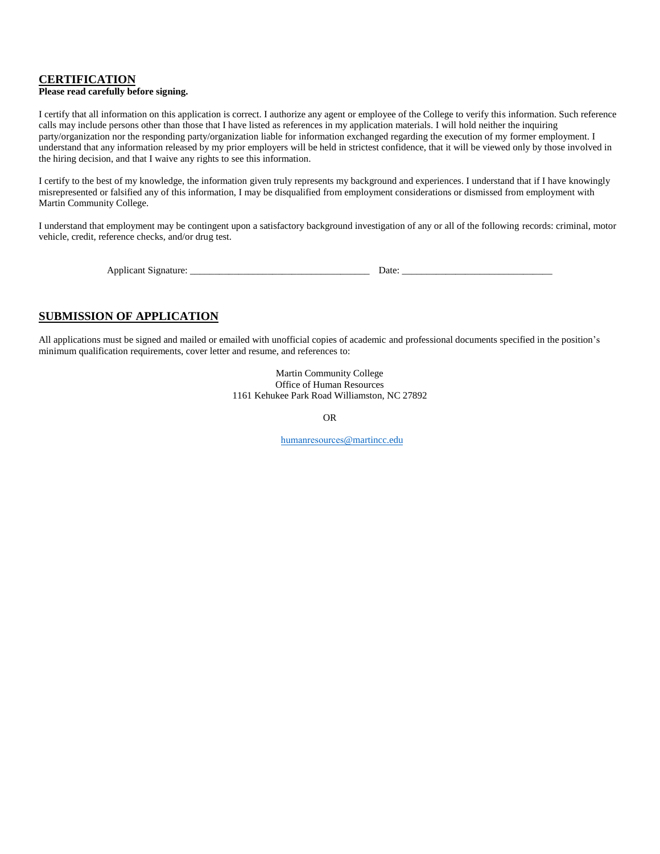### **CERTIFICATION**

#### **Please read carefully before signing.**

I certify that all information on this application is correct. I authorize any agent or employee of the College to verify this information. Such reference calls may include persons other than those that I have listed as references in my application materials. I will hold neither the inquiring party/organization nor the responding party/organization liable for information exchanged regarding the execution of my former employment. I understand that any information released by my prior employers will be held in strictest confidence, that it will be viewed only by those involved in the hiring decision, and that I waive any rights to see this information.

I certify to the best of my knowledge, the information given truly represents my background and experiences. I understand that if I have knowingly misrepresented or falsified any of this information, I may be disqualified from employment considerations or dismissed from employment with Martin Community College.

I understand that employment may be contingent upon a satisfactory background investigation of any or all of the following records: criminal, motor vehicle, credit, reference checks, and/or drug test.

| Applic<br>טור |  |  |
|---------------|--|--|
|               |  |  |

## **SUBMISSION OF APPLICATION**

All applications must be signed and mailed or emailed with unofficial copies of academic and professional documents specified in the position's minimum qualification requirements, cover letter and resume, and references to:

> Martin Community College Office of Human Resources 1161 Kehukee Park Road Williamston, NC 27892

> > OR

[humanresources](mailto:Personnel@martincc.edu)@martincc.edu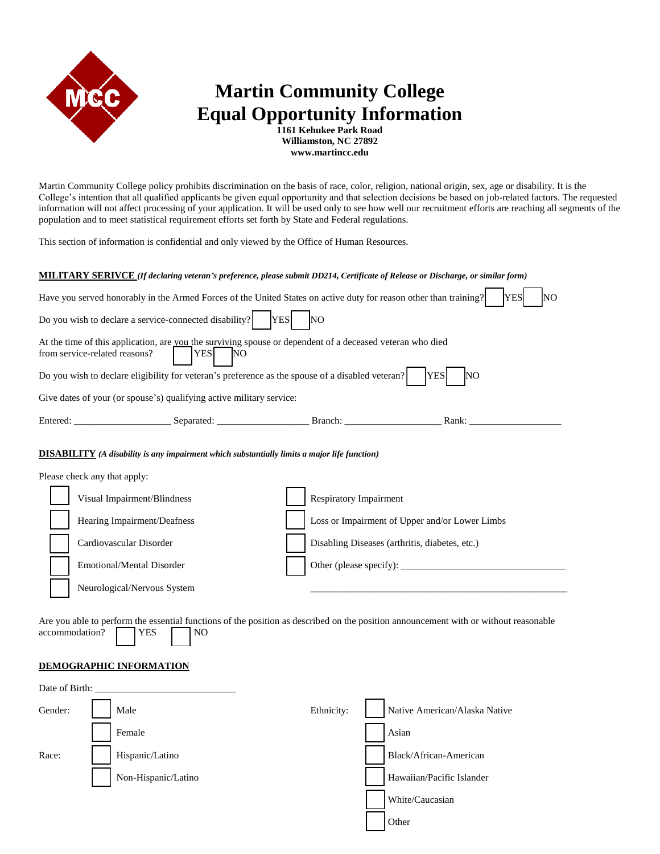

# **Martin Community College Equal Opportunity Information**

**1161 Kehukee Park Road Williamston, NC 27892 www.martincc.edu**

Martin Community College policy prohibits discrimination on the basis of race, color, religion, national origin, sex, age or disability. It is the College's intention that all qualified applicants be given equal opportunity and that selection decisions be based on job-related factors. The requested information will not affect processing of your application. It will be used only to see how well our recruitment efforts are reaching all segments of the population and to meet statistical requirement efforts set forth by State and Federal regulations.

This section of information is confidential and only viewed by the Office of Human Resources.

#### **MILITARY SERIVCE** *(If declaring veteran's preference, please submit DD214, Certificate of Release or Discharge, or similar form)*

| Have you served honorably in the Armed Forces of the United States on active duty for reason other than training?<br><b>YES</b><br>NO                                       |                                                                                                                             |           |  |  |  |  |  |  |
|-----------------------------------------------------------------------------------------------------------------------------------------------------------------------------|-----------------------------------------------------------------------------------------------------------------------------|-----------|--|--|--|--|--|--|
| Do you wish to declare a service-connected disability?                                                                                                                      | <b>YES</b>                                                                                                                  | <b>NO</b> |  |  |  |  |  |  |
| At the time of this application, are you the surviving spouse or dependent of a deceased veteran who died<br><b>YES</b><br>from service-related reasons?<br>$\overline{NQ}$ |                                                                                                                             |           |  |  |  |  |  |  |
|                                                                                                                                                                             | Do you wish to declare eligibility for veteran's preference as the spouse of a disabled veteran?<br><b>YES</b><br><b>NO</b> |           |  |  |  |  |  |  |
| Give dates of your (or spouse's) qualifying active military service:                                                                                                        |                                                                                                                             |           |  |  |  |  |  |  |
|                                                                                                                                                                             |                                                                                                                             |           |  |  |  |  |  |  |
|                                                                                                                                                                             |                                                                                                                             |           |  |  |  |  |  |  |

#### **DISABILITY** *(A disability is any impairment which substantially limits a major life function)*

| Please check any that apply: |                                                |
|------------------------------|------------------------------------------------|
| Visual Impairment/Blindness  | Respiratory Impairment                         |
| Hearing Impairment/Deafness  | Loss or Impairment of Upper and/or Lower Limbs |
| Cardiovascular Disorder      | Disabling Diseases (arthritis, diabetes, etc.) |
| Emotional/Mental Disorder    |                                                |
| Neurological/Nervous System  |                                                |

Are you able to perform the essential functions of the position as described on the position announcement with or without reasonable accommodation? **YES** NO

#### **DEMOGRAPHIC INFORMATION**

| Date of Birth: |                     |            |                               |
|----------------|---------------------|------------|-------------------------------|
| Gender:        | Male                | Ethnicity: | Native American/Alaska Native |
|                | Female              |            | Asian                         |
| Race:          | Hispanic/Latino     |            | Black/African-American        |
|                | Non-Hispanic/Latino |            | Hawaiian/Pacific Islander     |
|                |                     |            | White/Caucasian               |
|                |                     |            | Other                         |